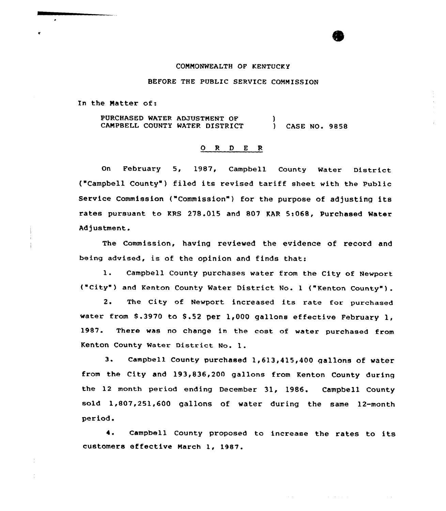#### COMMONMEALTH OF KENTUCKY

## BEFORE THE PUBLIC SERVICE COMMISSION

In the Matter of:

PURCHASED MATER ADJUSTMENT OF CAMPBELI COUNTY MATER DISTRICT  $\lambda$ ) CASE NO. 9858

# 0 <sup>R</sup> <sup>D</sup> <sup>E</sup> <sup>R</sup>

Gn February 5, 1987, Campbell County Mater District ( Campbell County') filed its revised tariff sheet with the Public Service Commission ("Commission") for the purpose of adjusting its rates pursuant to KRS 278.015 and 807 KAR 5s068, Purchased Mater Adjustment.

The Commission, having reviewed the evidence of record and being advised, is of the opinion and finds that:

1. Campbell County purchases water from the City of Newport ("City" ) and Kenton County Mater Distxict No. <sup>1</sup> ("Kenton County" ) .

2. The City of Newport increased its rate for purchased water from 8.3970 to 8.52 per 1,000 gallons effective February 1, 1987. There was no change in the cost of water purchased from Kenton County Mater District No. 1.

3. Campbell County purchased 1,613,415,400 gallons of water from the City and 193,836,200 gallons from Kenton County during the 12 month period ending December 31, 1986. Campbell County sold 1,807,251,600 gallons of water during the same 12-month pexiod.

4. Campbell County proposed to increase the rates to its customers effective March 1, 1987.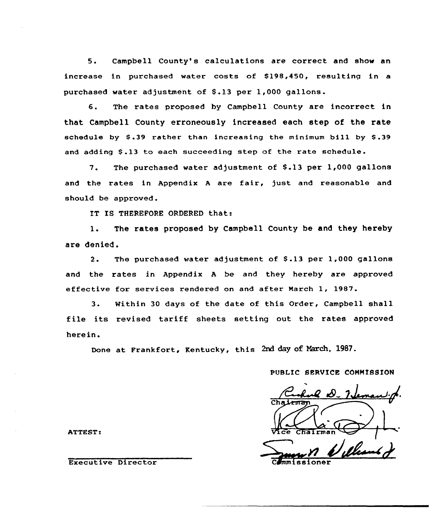5. Campbell County's calculations are correct and show an increase in purchased water costs of \$198,450, resulting in a purchased water adjustment of \$.13 per 1,000 gallons.

6. The rates proposed by Campbell County are incorrect in that Campbell County erroneously increased each step of the rate schedule by  $$.39$  rather than increasing the minimum bill by  $$.39$ and adding \$.13 to each succeeding step of the rate schedule.

7. The purchased water adjustment of \$.13 per 1,000 gallons and the rates in Appendix <sup>A</sup> are fair, just and reasonable and should be approved.

IT IS THEREFORE ORDERED that:

1. The rates proposed by Campbell County be and they hereby are denied.

2. The purchased water adjustment of \$.13 per 1,000 gallons and the rates in Appendix <sup>A</sup> be and they hereby are approved effective for services rendered on and after March 1, 1987.

3. Within <sup>30</sup> days of the date of this Order, Campbell shall file its revised tariff sheets setting out the rates approved here in.

Done at Frankfort, Kentucky, this 2nd day of Narch, 1987.

PUBLIC SERVICE COMMISSION

 $V_0$   $\frac{V_0}{V_0}$   $\frac{V_0}{V_0}$ 

ATTEST:

Executive Director